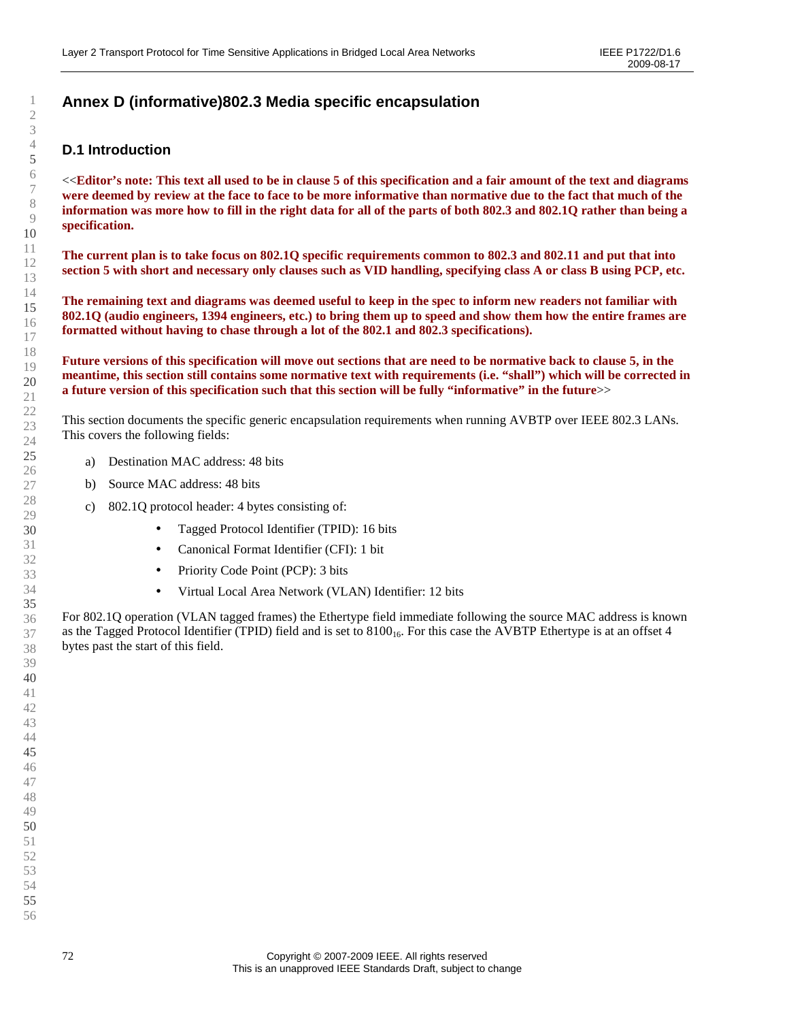# **Annex D (informative)802.3 Media specific encapsulation**

## **D.1 Introduction**

<<**Editor's note: This text all used to be in clause 5 of this specification and a fair amount of the text and diagrams were deemed by review at the face to face to be more informative than normative due to the fact that much of the information was more how to fill in the right data for all of the parts of both 802.3 and 802.1Q rather than being a specification.** 

**The current plan is to take focus on 802.1Q specific requirements common to 802.3 and 802.11 and put that into section 5 with short and necessary only clauses such as VID handling, specifying class A or class B using PCP, etc.** 

**The remaining text and diagrams was deemed useful to keep in the spec to inform new readers not familiar with 802.1Q (audio engineers, 1394 engineers, etc.) to bring them up to speed and show them how the entire frames are formatted without having to chase through a lot of the 802.1 and 802.3 specifications).** 

**Future versions of this specification will move out sections that are need to be normative back to clause 5, in the meantime, this section still contains some normative text with requirements (i.e. "shall") which will be corrected in a future version of this specification such that this section will be fully "informative" in the future**>>

This section documents the specific generic encapsulation requirements when running AVBTP over IEEE 802.3 LANs. This covers the following fields:

- a) Destination MAC address: 48 bits
- b) Source MAC address: 48 bits
- c) 802.1Q protocol header: 4 bytes consisting of:
	- Tagged Protocol Identifier (TPID): 16 bits
	- Canonical Format Identifier (CFI): 1 bit
	- Priority Code Point (PCP): 3 bits
	- Virtual Local Area Network (VLAN) Identifier: 12 bits

For 802.1Q operation (VLAN tagged frames) the Ethertype field immediate following the source MAC address is known as the Tagged Protocol Identifier (TPID) field and is set to  $8100_{16}$ . For this case the AVBTP Ethertype is at an offset 4 bytes past the start of this field.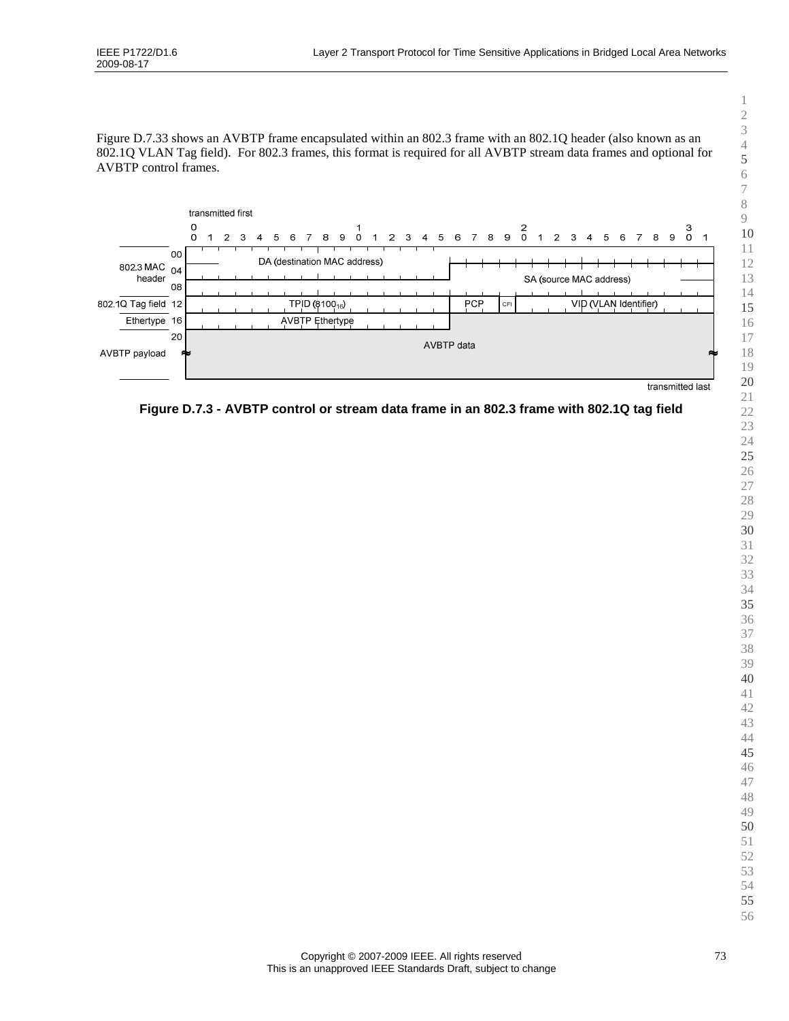Figure D.7.33 shows an AVBTP frame encapsulated within an 802.3 frame with an 802.1Q header (also known as an 802.1Q VLAN Tag field). For 802.3 frames, this format is required for all AVBTP stream data frames and optional for AVBTP control frames.



**Figure D.7.3 - AVBTP control or stream data frame in an 802.3 frame with 802.1Q tag field**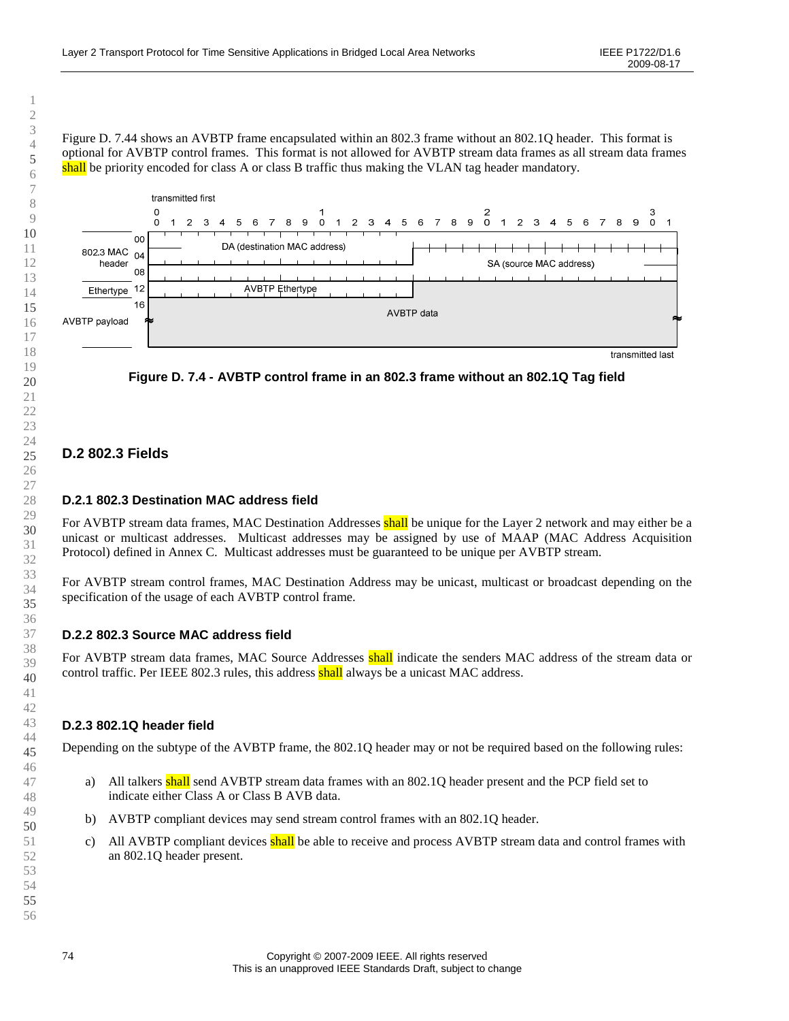Figure D. 7.44 shows an AVBTP frame encapsulated within an 802.3 frame without an 802.1Q header. This format is optional for AVBTP control frames. This format is not allowed for AVBTP stream data frames as all stream data frames shall be priority encoded for class A or class B traffic thus making the VLAN tag header mandatory.



**Figure D. 7.4 - AVBTP control frame in an 802.3 frame without an 802.1Q Tag field** 

## **D.2 802.3 Fields**

#### **D.2.1 802.3 Destination MAC address field**

For AVBTP stream data frames, MAC Destination Addresses shall be unique for the Layer 2 network and may either be a unicast or multicast addresses. Multicast addresses may be assigned by use of MAAP (MAC Address Acquisition Protocol) defined in Annex C. Multicast addresses must be guaranteed to be unique per AVBTP stream.

For AVBTP stream control frames, MAC Destination Address may be unicast, multicast or broadcast depending on the specification of the usage of each AVBTP control frame.

#### **D.2.2 802.3 Source MAC address field**

For AVBTP stream data frames, MAC Source Addresses shall indicate the senders MAC address of the stream data or control traffic. Per IEEE 802.3 rules, this address shall always be a unicast MAC address.

#### **D.2.3 802.1Q header field**

Depending on the subtype of the AVBTP frame, the 802.1Q header may or not be required based on the following rules:

- a) All talkers shall send AVBTP stream data frames with an 802.1Q header present and the PCP field set to indicate either Class A or Class B AVB data.
- b) AVBTP compliant devices may send stream control frames with an 802.1Q header.
- c) All AVBTP compliant devices shall be able to receive and process AVBTP stream data and control frames with an 802.1Q header present.